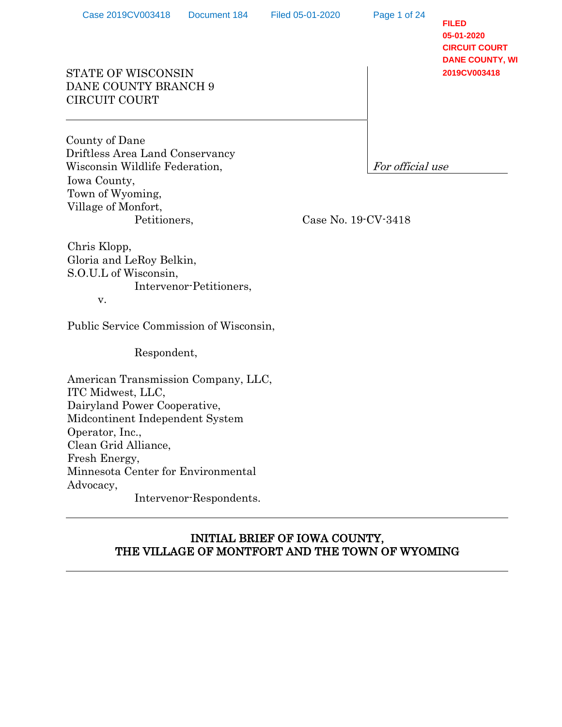Page 1 of 24

**FILED 05-01-2020 CIRCUIT COURT DANE COUNTY, WI 2019CV003418**

# STATE OF WISCONSIN DANE COUNTY BRANCH 9 CIRCUIT COURT

County of Dane Driftless Area Land Conservancy Wisconsin Wildlife Federation,  $\boxed{For \, official \, use}$ Iowa County, Town of Wyoming, Village of Monfort, Petitioners,

Case No. 19-CV-3418

Chris Klopp, Gloria and LeRoy Belkin, S.O.U.L of Wisconsin, Intervenor-Petitioners, v.

Public Service Commission of Wisconsin,

Respondent,

American Transmission Company, LLC, ITC Midwest, LLC, Dairyland Power Cooperative, Midcontinent Independent System Operator, Inc., Clean Grid Alliance, Fresh Energy, Minnesota Center for Environmental Advocacy, Intervenor-Respondents.

# INITIAL BRIEF OF IOWA COUNTY, THE VILLAGE OF MONTFORT AND THE TOWN OF WYOMING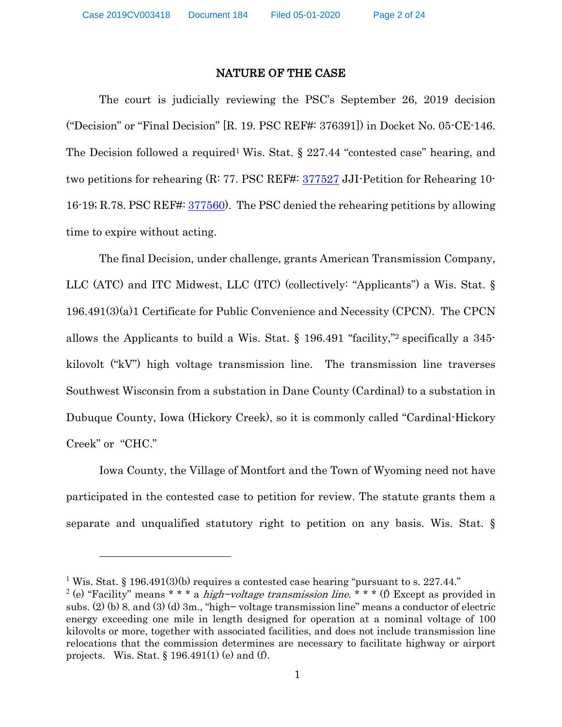#### NATURE OF THE CASE

The court is judicially reviewing the PSC's September 26, 2019 decision ("Decision" or "Final Decision" [R. 19. PSC REF#: 376391]) in Docket No. 05-CE-146. The Decision followed a required<sup>1</sup> Wis. Stat. § 227.44 "contested case" hearing, and two petitions for rehearing (R: 77. PSC REF#: 377527 JJI-Petition for Rehearing 10- 16-19; R.78. PSC REF#: 377560). The PSC denied the rehearing petitions by allowing time to expire without acting.

The final Decision, under challenge, grants American Transmission Company, LLC (ATC) and ITC Midwest, LLC (ITC) (collectively: "Applicants") a Wis. Stat. § 196.491(3)(a)1 Certificate for Public Convenience and Necessity (CPCN). The CPCN allows the Applicants to build a Wis. Stat. § 196.491 "facility,"2 specifically a 345 kilovolt ("kV") high voltage transmission line. The transmission line traverses Southwest Wisconsin from a substation in Dane County (Cardinal) to a substation in Dubuque County, Iowa (Hickory Creek), so it is commonly called "Cardinal-Hickory Creek" or "CHC."

Iowa County, the Village of Montfort and the Town of Wyoming need not have participated in the contested case to petition for review. The statute grants them a separate and unqualified statutory right to petition on any basis. Wis. Stat. §

<sup>&</sup>lt;sup>1</sup> Wis. Stat. § 196.491(3)(b) requires a contested case hearing "pursuant to s. 227.44."

<sup>&</sup>lt;sup>2</sup> (e) "Facility" means \* \* \* a *high-voltage transmission line*. \* \* \* (f) Except as provided in subs. (2) (b) 8. and (3) (d) 3m., "high− voltage transmission line" means a conductor of electric energy exceeding one mile in length designed for operation at a nominal voltage of 100 kilovolts or more, together with associated facilities, and does not include transmission line relocations that the commission determines are necessary to facilitate highway or airport projects. Wis. Stat. § 196.491(1) (e) and (f).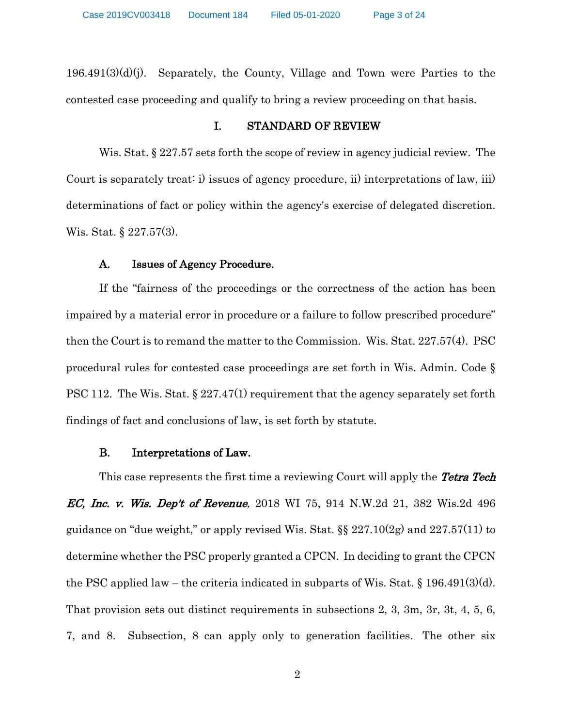196.491(3)(d)(j). Separately, the County, Village and Town were Parties to the contested case proceeding and qualify to bring a review proceeding on that basis.

#### I. STANDARD OF REVIEW

Wis. Stat. § 227.57 sets forth the scope of review in agency judicial review. The Court is separately treat: i) issues of agency procedure, ii) interpretations of law, iii) determinations of fact or policy within the agency's exercise of delegated discretion. Wis. Stat. § 227.57(3).

## A. Issues of Agency Procedure.

If the "fairness of the proceedings or the correctness of the action has been impaired by a material error in procedure or a failure to follow prescribed procedure" then the Court is to remand the matter to the Commission. Wis. Stat. 227.57(4). PSC procedural rules for contested case proceedings are set forth in Wis. Admin. Code § PSC 112. The Wis. Stat. § 227.47(1) requirement that the agency separately set forth findings of fact and conclusions of law, is set forth by statute.

### B. Interpretations of Law.

This case represents the first time a reviewing Court will apply the **Tetra Tech** *EC, Inc. v. Wis. Dep't of Revenue,* 2018 WI 75, 914 N.W.2d 21, 382 Wis.2d 496 guidance on "due weight," or apply revised Wis. Stat.  $\S$   $227.10(2g)$  and  $227.57(11)$  to determine whether the PSC properly granted a CPCN. In deciding to grant the CPCN the PSC applied law – the criteria indicated in subparts of Wis. Stat.  $\S$  196.491(3)(d). That provision sets out distinct requirements in subsections 2, 3, 3m, 3r, 3t, 4, 5, 6, 7, and 8. Subsection, 8 can apply only to generation facilities. The other six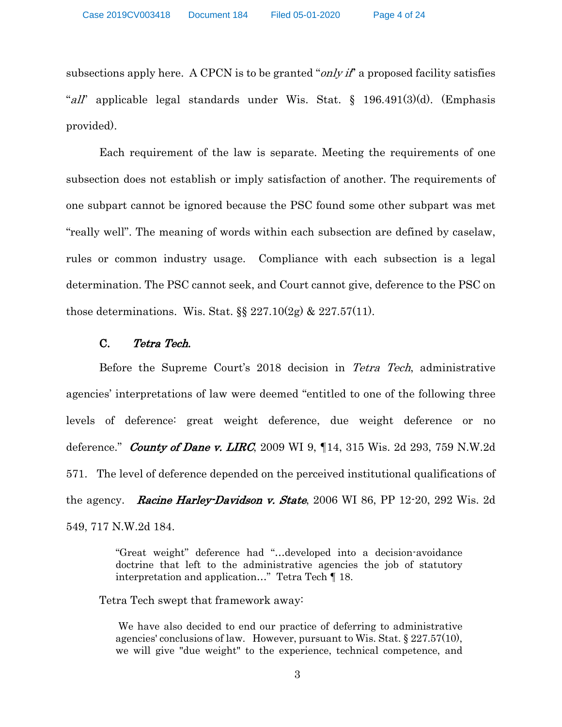subsections apply here. A CPCN is to be granted "*only if*" a proposed facility satisfies "all" applicable legal standards under Wis. Stat.  $\S$  196.491(3)(d). (Emphasis provided).

Each requirement of the law is separate. Meeting the requirements of one subsection does not establish or imply satisfaction of another. The requirements of one subpart cannot be ignored because the PSC found some other subpart was met "really well". The meaning of words within each subsection are defined by caselaw, rules or common industry usage. Compliance with each subsection is a legal determination. The PSC cannot seek, and Court cannot give, deference to the PSC on those determinations. Wis. Stat.  $\S$  227.10(2g) & 227.57(11).

### C. Tetra Tech.

Before the Supreme Court's 2018 decision in Tetra Tech, administrative agencies' interpretations of law were deemed "entitled to one of the following three levels of deference: great weight deference, due weight deference or no deference." **County of Dane v. LIRC**, 2009 WI 9,  $\P$ 14, 315 Wis. 2d 293, 759 N.W.2d 571. The level of deference depended on the perceived institutional qualifications of the agency. **Racine Harley-Davidson v. State**, 2006 WI 86, PP 12-20, 292 Wis. 2d 549, 717 N.W.2d 184.

> "Great weight" deference had "…developed into a decision-avoidance doctrine that left to the administrative agencies the job of statutory interpretation and application…" Tetra Tech ¶ 18.

Tetra Tech swept that framework away:

We have also decided to end our practice of deferring to administrative agencies' conclusions of law. However, pursuant to Wis. Stat. § 227.57(10), we will give "due weight" to the experience, technical competence, and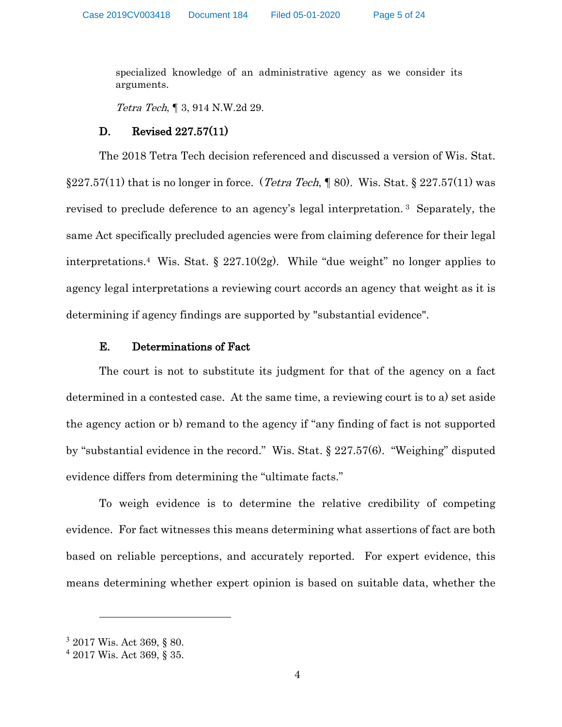specialized knowledge of an administrative agency as we consider its arguments.

Tetra Tech, ¶ 3, 914 N.W.2d 29.

## D. Revised 227.57(11)

The 2018 Tetra Tech decision referenced and discussed a version of Wis. Stat.  $\S 227.57(11)$  that is no longer in force. (*Tetra Tech*, ¶ 80). Wis. Stat.  $\S 227.57(11)$  was revised to preclude deference to an agency's legal interpretation. 3 Separately, the same Act specifically precluded agencies were from claiming deference for their legal interpretations.<sup>4</sup> Wis. Stat.  $\S 227.10(2g)$ . While "due weight" no longer applies to agency legal interpretations a reviewing court accords an agency that weight as it is determining if agency findings are supported by "substantial evidence".

## E. Determinations of Fact

The court is not to substitute its judgment for that of the agency on a fact determined in a contested case. At the same time, a reviewing court is to a) set aside the agency action or b) remand to the agency if "any finding of fact is not supported by "substantial evidence in the record." Wis. Stat. § 227.57(6). "Weighing" disputed evidence differs from determining the "ultimate facts."

To weigh evidence is to determine the relative credibility of competing evidence. For fact witnesses this means determining what assertions of fact are both based on reliable perceptions, and accurately reported. For expert evidence, this means determining whether expert opinion is based on suitable data, whether the

<sup>3</sup> 2017 Wis. Act 369, § 80.

<sup>4</sup> 2017 Wis. Act 369, § 35.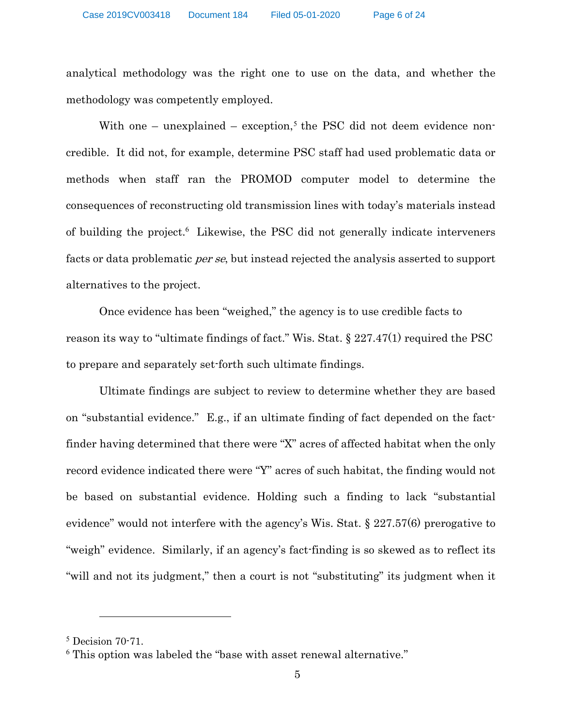analytical methodology was the right one to use on the data, and whether the methodology was competently employed.

With one – unexplained – exception,<sup>5</sup> the PSC did not deem evidence noncredible. It did not, for example, determine PSC staff had used problematic data or methods when staff ran the PROMOD computer model to determine the consequences of reconstructing old transmission lines with today's materials instead of building the project.<sup>6</sup> Likewise, the PSC did not generally indicate interveners facts or data problematic *per se*, but instead rejected the analysis asserted to support alternatives to the project.

Once evidence has been "weighed," the agency is to use credible facts to reason its way to "ultimate findings of fact." Wis. Stat. § 227.47(1) required the PSC to prepare and separately set-forth such ultimate findings.

Ultimate findings are subject to review to determine whether they are based on "substantial evidence." E.g., if an ultimate finding of fact depended on the factfinder having determined that there were "X" acres of affected habitat when the only record evidence indicated there were "Y" acres of such habitat, the finding would not be based on substantial evidence. Holding such a finding to lack "substantial evidence" would not interfere with the agency's Wis. Stat. § 227.57(6) prerogative to "weigh" evidence. Similarly, if an agency's fact-finding is so skewed as to reflect its "will and not its judgment," then a court is not "substituting" its judgment when it

<sup>5</sup> Decision 70-71.

<sup>&</sup>lt;sup>6</sup> This option was labeled the "base with asset renewal alternative."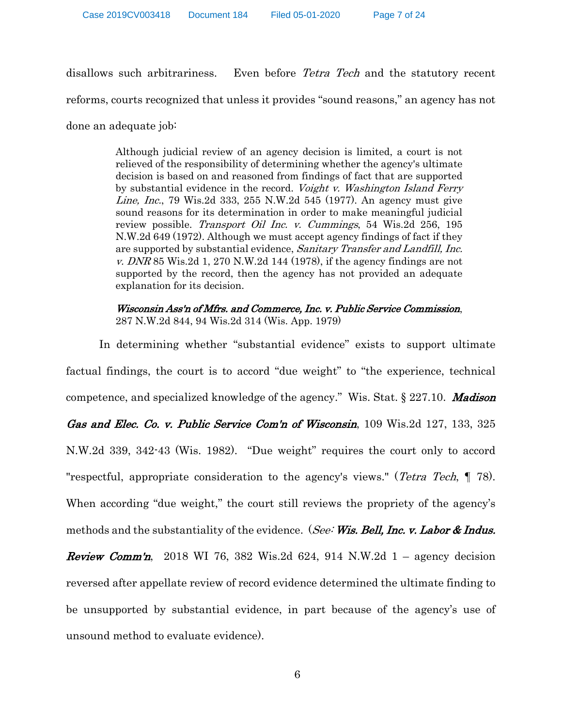disallows such arbitrariness. Even before Tetra Tech and the statutory recent

reforms, courts recognized that unless it provides "sound reasons," an agency has not

done an adequate job:

Although judicial review of an agency decision is limited, a court is not relieved of the responsibility of determining whether the agency's ultimate decision is based on and reasoned from findings of fact that are supported by substantial evidence in the record. Voight v. Washington Island Ferry Line, Inc., 79 Wis.2d 333, 255 N.W.2d 545 (1977). An agency must give sound reasons for its determination in order to make meaningful judicial review possible. *Transport Oil Inc. v. Cummings*, 54 Wis.2d 256, 195 N.W.2d 649 (1972). Although we must accept agency findings of fact if they are supported by substantial evidence, Sanitary Transfer and Landfill, Inc. v. DNR 85 Wis. 2d 1, 270 N.W. 2d 144 (1978), if the agency findings are not supported by the record, then the agency has not provided an adequate explanation for its decision.

Wisconsin Ass'n of Mfrs. and Commerce, Inc. v. Public Service Commission, 287 N.W.2d 844, 94 Wis.2d 314 (Wis. App. 1979)

In determining whether "substantial evidence" exists to support ultimate factual findings, the court is to accord "due weight" to "the experience, technical competence, and specialized knowledge of the agency." Wis. Stat.  $\S 227.10$ . Madison Gas and Elec. Co. v. Public Service Com'n of Wisconsin, 109 Wis. 2d 127, 133, 325 N.W.2d 339, 342-43 (Wis. 1982). "Due weight" requires the court only to accord "respectful, appropriate consideration to the agency's views." (*Tetra Tech*, 178). When according "due weight," the court still reviews the propriety of the agency's methods and the substantiality of the evidence. (See: Wis. Bell, Inc. v. Labor & Indus. **Review Comm'n,** 2018 WI 76, 382 Wis.2d 624, 914 N.W.2d  $1 -$  agency decision reversed after appellate review of record evidence determined the ultimate finding to be unsupported by substantial evidence, in part because of the agency's use of unsound method to evaluate evidence).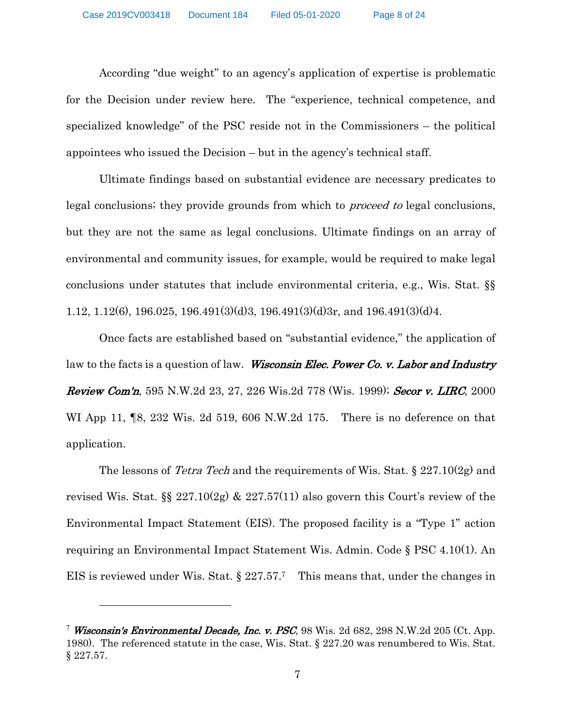According "due weight" to an agency's application of expertise is problematic for the Decision under review here. The "experience, technical competence, and specialized knowledge" of the PSC reside not in the Commissioners – the political appointees who issued the Decision – but in the agency's technical staff.

Ultimate findings based on substantial evidence are necessary predicates to legal conclusions; they provide grounds from which to *proceed to* legal conclusions, but they are not the same as legal conclusions. Ultimate findings on an array of environmental and community issues, for example, would be required to make legal conclusions under statutes that include environmental criteria, e.g., Wis. Stat. §§ 1.12, 1.12(6), 196.025, 196.491(3)(d)3, 196.491(3)(d)3r, and 196.491(3)(d)4.

Once facts are established based on "substantial evidence," the application of law to the facts is a question of law. Wisconsin Elec. Power Co. v. Labor and Industry **Review Com'n**, 595 N.W.2d 23, 27, 226 Wis.2d 778 (Wis. 1999); **Secor v. LIRC**, 2000 WI App 11,  $\llbracket 8, 232 \text{ Wis. } 2d, 519, 606 \text{ N.W.}2d, 175.$  There is no deference on that application.

The lessons of *Tetra Tech* and the requirements of Wis. Stat.  $\S 227.10(2g)$  and revised Wis. Stat.  $\S_{8}$  227.10(2g) & 227.57(11) also govern this Court's review of the Environmental Impact Statement (EIS). The proposed facility is a "Type 1" action requiring an Environmental Impact Statement Wis. Admin. Code § PSC 4.10(1). An EIS is reviewed under Wis. Stat.  $\S 227.57$ . This means that, under the changes in

<sup>&</sup>lt;sup>7</sup> Wisconsin's Environmental Decade, Inc. v. PSC, 98 Wis. 2d 682, 298 N.W.2d 205 (Ct. App. 1980). The referenced statute in the case, Wis. Stat. § 227.20 was renumbered to Wis. Stat. § 227.57.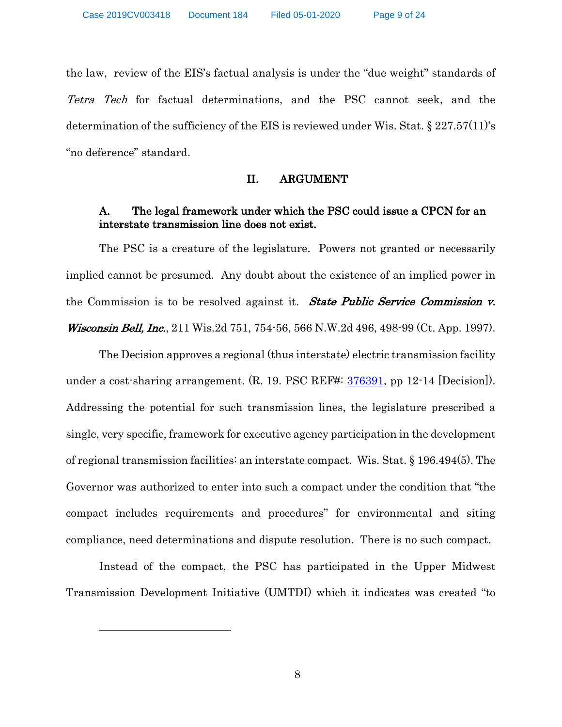the law, review of the EIS's factual analysis is under the "due weight" standards of Tetra Tech for factual determinations, and the PSC cannot seek, and the determination of the sufficiency of the EIS is reviewed under Wis. Stat.  $\S 227.57(11)$ 's "no deference" standard.

### II. ARGUMENT

# A. The legal framework under which the PSC could issue a CPCN for an interstate transmission line does not exist.

The PSC is a creature of the legislature. Powers not granted or necessarily implied cannot be presumed. Any doubt about the existence of an implied power in the Commission is to be resolved against it. State Public Service Commission v. Wisconsin Bell, Inc., 211 Wis.2d 751, 754-56, 566 N.W.2d 496, 498-99 (Ct. App. 1997).

The Decision approves a regional (thus interstate) electric transmission facility under a cost-sharing arrangement. (R. 19. PSC REF#:  $\frac{376391}{276391}$ , pp 12-14 [Decision]). Addressing the potential for such transmission lines, the legislature prescribed a single, very specific, framework for executive agency participation in the development of regional transmission facilities: an interstate compact. Wis. Stat. § 196.494(5). The Governor was authorized to enter into such a compact under the condition that "the compact includes requirements and procedures" for environmental and siting compliance, need determinations and dispute resolution. There is no such compact.

Instead of the compact, the PSC has participated in the Upper Midwest Transmission Development Initiative (UMTDI) which it indicates was created "to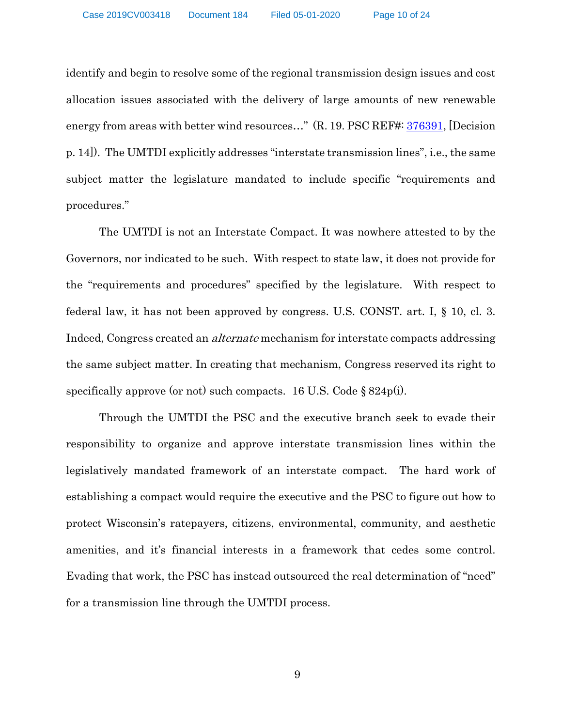identify and begin to resolve some of the regional transmission design issues and cost allocation issues associated with the delivery of large amounts of new renewable energy from areas with better wind resources..." (R. 19. PSC REF#: 376391, [Decision p. 14]). The UMTDI explicitly addresses "interstate transmission lines", i.e., the same subject matter the legislature mandated to include specific "requirements and procedures."

The UMTDI is not an Interstate Compact. It was nowhere attested to by the Governors, nor indicated to be such. With respect to state law, it does not provide for the "requirements and procedures" specified by the legislature. With respect to federal law, it has not been approved by congress. U.S. CONST. art. I, § 10, cl. 3. Indeed, Congress created an alternate mechanism for interstate compacts addressing the same subject matter. In creating that mechanism, Congress reserved its right to specifically approve (or not) such compacts. 16 U.S. Code  $\S 824p(i)$ .

Through the UMTDI the PSC and the executive branch seek to evade their responsibility to organize and approve interstate transmission lines within the legislatively mandated framework of an interstate compact. The hard work of establishing a compact would require the executive and the PSC to figure out how to protect Wisconsin's ratepayers, citizens, environmental, community, and aesthetic amenities, and it's financial interests in a framework that cedes some control. Evading that work, the PSC has instead outsourced the real determination of "need" for a transmission line through the UMTDI process.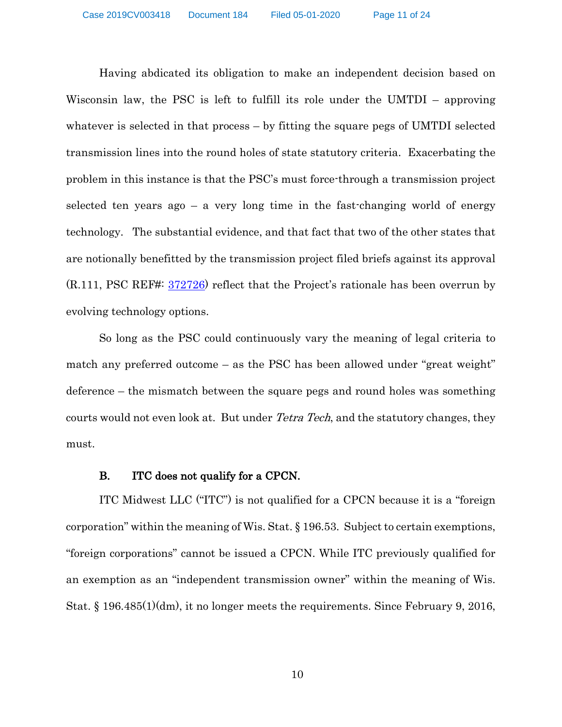Having abdicated its obligation to make an independent decision based on Wisconsin law, the PSC is left to fulfill its role under the UMTDI – approving whatever is selected in that process – by fitting the square pegs of UMTDI selected transmission lines into the round holes of state statutory criteria. Exacerbating the problem in this instance is that the PSC's must force-through a transmission project selected ten years ago – a very long time in the fast-changing world of energy technology. The substantial evidence, and that fact that two of the other states that are notionally benefitted by the transmission project filed briefs against its approval (R.111, PSC REF#: 372726) reflect that the Project's rationale has been overrun by evolving technology options.

So long as the PSC could continuously vary the meaning of legal criteria to match any preferred outcome – as the PSC has been allowed under "great weight" deference – the mismatch between the square pegs and round holes was something courts would not even look at. But under *Tetra Tech*, and the statutory changes, they must.

#### B. ITC does not qualify for a CPCN.

ITC Midwest LLC ("ITC") is not qualified for a CPCN because it is a "foreign corporation" within the meaning of Wis. Stat. § 196.53. Subject to certain exemptions, "foreign corporations" cannot be issued a CPCN. While ITC previously qualified for an exemption as an "independent transmission owner" within the meaning of Wis. Stat. § 196.485(1)(dm), it no longer meets the requirements. Since February 9, 2016,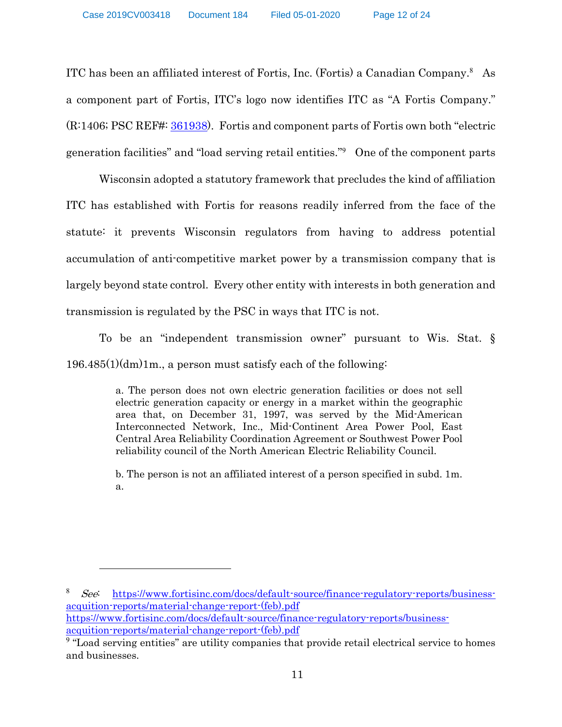ITC has been an affiliated interest of Fortis, Inc. (Fortis) a Canadian Company. <sup>8</sup> As a component part of Fortis, ITC's logo now identifies ITC as "A Fortis Company." (R:1406; PSC REF#: 361938). Fortis and component parts of Fortis own both "electric generation facilities" and "load serving retail entities."<sup>9</sup> One of the component parts

Wisconsin adopted a statutory framework that precludes the kind of affiliation ITC has established with Fortis for reasons readily inferred from the face of the statute: it prevents Wisconsin regulators from having to address potential accumulation of anti-competitive market power by a transmission company that is largely beyond state control. Every other entity with interests in both generation and transmission is regulated by the PSC in ways that ITC is not.

To be an "independent transmission owner" pursuant to Wis. Stat. § 196.485(1)(dm)1m., a person must satisfy each of the following:

> a. The person does not own electric generation facilities or does not sell electric generation capacity or energy in a market within the geographic area that, on December 31, 1997, was served by the Mid-American Interconnected Network, Inc., Mid-Continent Area Power Pool, East Central Area Reliability Coordination Agreement or Southwest Power Pool reliability council of the North American Electric Reliability Council.

> b. The person is not an affiliated interest of a person specified in subd. 1m. a.

<sup>8</sup> See: https://www.fortisinc.com/docs/default-source/finance-regulatory-reports/businessacquition-reports/material-change-report-(feb).pdf https://www.fortisinc.com/docs/default-source/finance-regulatory-reports/businessacquition-reports/material-change-report-(feb).pdf

<sup>&</sup>lt;sup>9</sup> "Load serving entities" are utility companies that provide retail electrical service to homes and businesses.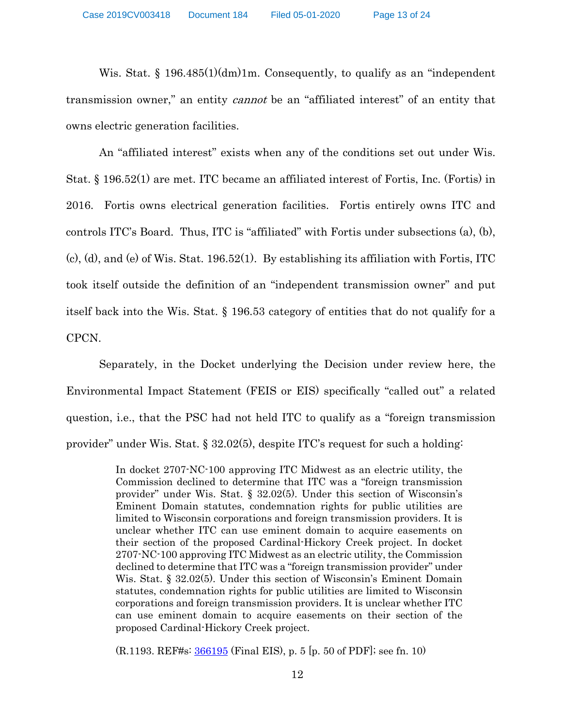Wis. Stat.  $\S 196.485(1)(dm)$ 1m. Consequently, to qualify as an "independent" transmission owner," an entity *cannot* be an "affiliated interest" of an entity that owns electric generation facilities.

An "affiliated interest" exists when any of the conditions set out under Wis. Stat. § 196.52(1) are met. ITC became an affiliated interest of Fortis, Inc. (Fortis) in 2016. Fortis owns electrical generation facilities. Fortis entirely owns ITC and controls ITC's Board. Thus, ITC is "affiliated" with Fortis under subsections (a), (b), (c), (d), and (e) of Wis. Stat. 196.52(1). By establishing its affiliation with Fortis, ITC took itself outside the definition of an "independent transmission owner" and put itself back into the Wis. Stat. § 196.53 category of entities that do not qualify for a CPCN.

Separately, in the Docket underlying the Decision under review here, the Environmental Impact Statement (FEIS or EIS) specifically "called out" a related question, i.e., that the PSC had not held ITC to qualify as a "foreign transmission provider" under Wis. Stat. § 32.02(5), despite ITC's request for such a holding:

> In docket 2707-NC-100 approving ITC Midwest as an electric utility, the Commission declined to determine that ITC was a "foreign transmission provider" under Wis. Stat. § 32.02(5). Under this section of Wisconsin's Eminent Domain statutes, condemnation rights for public utilities are limited to Wisconsin corporations and foreign transmission providers. It is unclear whether ITC can use eminent domain to acquire easements on their section of the proposed Cardinal-Hickory Creek project. In docket 2707-NC-100 approving ITC Midwest as an electric utility, the Commission declined to determine that ITC was a "foreign transmission provider" under Wis. Stat. § 32.02(5). Under this section of Wisconsin's Eminent Domain statutes, condemnation rights for public utilities are limited to Wisconsin corporations and foreign transmission providers. It is unclear whether ITC can use eminent domain to acquire easements on their section of the proposed Cardinal-Hickory Creek project.

(R.1193. REF#s: 366195 (Final EIS), p. 5 [p. 50 of PDF]; see fn. 10)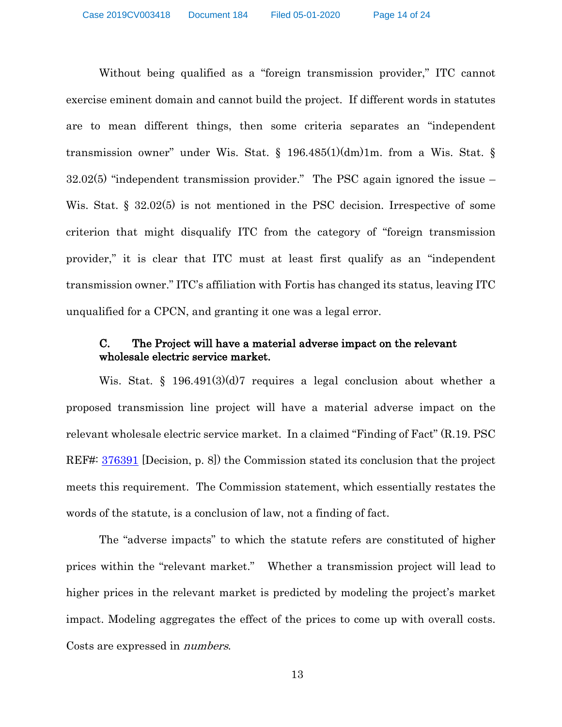Without being qualified as a "foreign transmission provider," ITC cannot exercise eminent domain and cannot build the project. If different words in statutes are to mean different things, then some criteria separates an "independent transmission owner" under Wis. Stat.  $\S$  196.485(1)(dm)1m. from a Wis. Stat.  $\S$ 32.02(5) "independent transmission provider." The PSC again ignored the issue – Wis. Stat. § 32.02(5) is not mentioned in the PSC decision. Irrespective of some criterion that might disqualify ITC from the category of "foreign transmission provider," it is clear that ITC must at least first qualify as an "independent transmission owner." ITC's affiliation with Fortis has changed its status, leaving ITC unqualified for a CPCN, and granting it one was a legal error.

# C. The Project will have a material adverse impact on the relevant wholesale electric service market.

Wis. Stat. § 196.491(3)(d)7 requires a legal conclusion about whether a proposed transmission line project will have a material adverse impact on the relevant wholesale electric service market. In a claimed "Finding of Fact" (R.19. PSC REF#:  $376391$  [Decision, p. 8]) the Commission stated its conclusion that the project meets this requirement. The Commission statement, which essentially restates the words of the statute, is a conclusion of law, not a finding of fact.

The "adverse impacts" to which the statute refers are constituted of higher prices within the "relevant market." Whether a transmission project will lead to higher prices in the relevant market is predicted by modeling the project's market impact. Modeling aggregates the effect of the prices to come up with overall costs. Costs are expressed in numbers.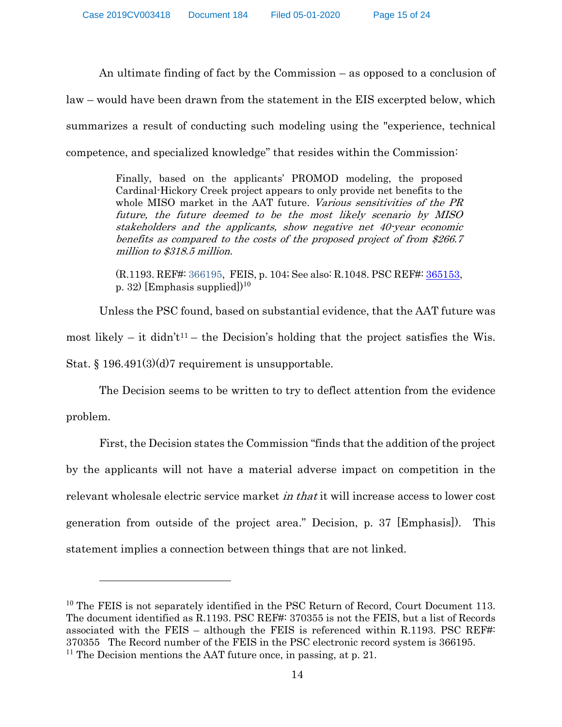An ultimate finding of fact by the Commission – as opposed to a conclusion of law – would have been drawn from the statement in the EIS excerpted below, which summarizes a result of conducting such modeling using the "experience, technical competence, and specialized knowledge" that resides within the Commission:

> Finally, based on the applicants' PROMOD modeling, the proposed Cardinal-Hickory Creek project appears to only provide net benefits to the whole MISO market in the AAT future. Various sensitivities of the PR future, the future deemed to be the most likely scenario by MISO stakeholders and the applicants, show negative net 40-year economic benefits as compared to the costs of the proposed project of from \$266.7 million to \$318.5 million.

> (R.1193. REF#: 366195, FEIS, p. 104; See also: R.1048. PSC REF#: 365153, p. 32) [Emphasis supplied]) 10

Unless the PSC found, based on substantial evidence, that the AAT future was most likely – it didn't<sup>11</sup> – the Decision's holding that the project satisfies the Wis. Stat. § 196.491(3)(d)7 requirement is unsupportable.

The Decision seems to be written to try to deflect attention from the evidence problem.

First, the Decision states the Commission "finds that the addition of the project by the applicants will not have a material adverse impact on competition in the relevant wholesale electric service market in that it will increase access to lower cost generation from outside of the project area." Decision, p. 37 [Emphasis]). This statement implies a connection between things that are not linked.

<sup>&</sup>lt;sup>10</sup> The FEIS is not separately identified in the PSC Return of Record, Court Document 113. The document identified as R.1193. PSC REF#: 370355 is not the FEIS, but a list of Records associated with the FEIS – although the FEIS is referenced within R.1193. PSC REF#: 370355 The Record number of the FEIS in the PSC electronic record system is 366195. <sup>11</sup> The Decision mentions the AAT future once, in passing, at p. 21.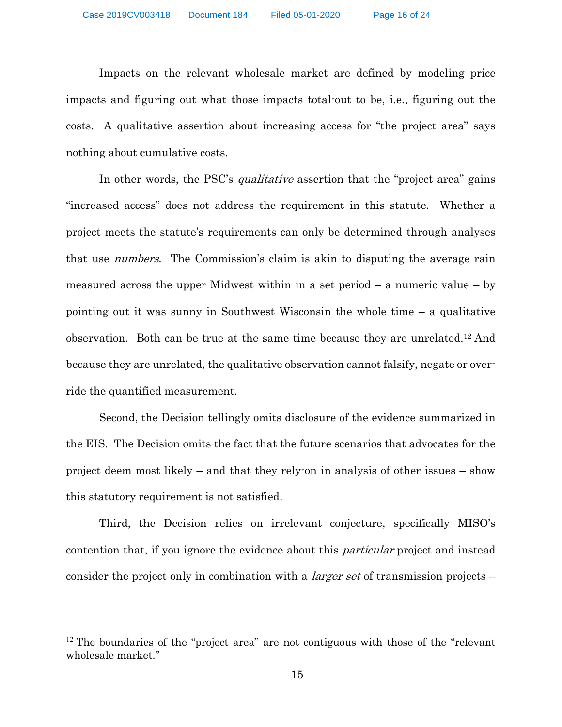Impacts on the relevant wholesale market are defined by modeling price impacts and figuring out what those impacts total-out to be, i.e., figuring out the costs. A qualitative assertion about increasing access for "the project area" says nothing about cumulative costs.

In other words, the PSC's *qualitative* assertion that the "project area" gains "increased access" does not address the requirement in this statute. Whether a project meets the statute's requirements can only be determined through analyses that use numbers. The Commission's claim is akin to disputing the average rain measured across the upper Midwest within in a set period  $-$  a numeric value  $-$  by pointing out it was sunny in Southwest Wisconsin the whole time – a qualitative observation. Both can be true at the same time because they are unrelated.12 And because they are unrelated, the qualitative observation cannot falsify, negate or override the quantified measurement.

Second, the Decision tellingly omits disclosure of the evidence summarized in the EIS. The Decision omits the fact that the future scenarios that advocates for the project deem most likely – and that they rely-on in analysis of other issues – show this statutory requirement is not satisfied.

Third, the Decision relies on irrelevant conjecture, specifically MISO's contention that, if you ignore the evidence about this *particular* project and instead consider the project only in combination with a *larger set* of transmission projects –

<sup>&</sup>lt;sup>12</sup> The boundaries of the "project area" are not contiguous with those of the "relevant" wholesale market."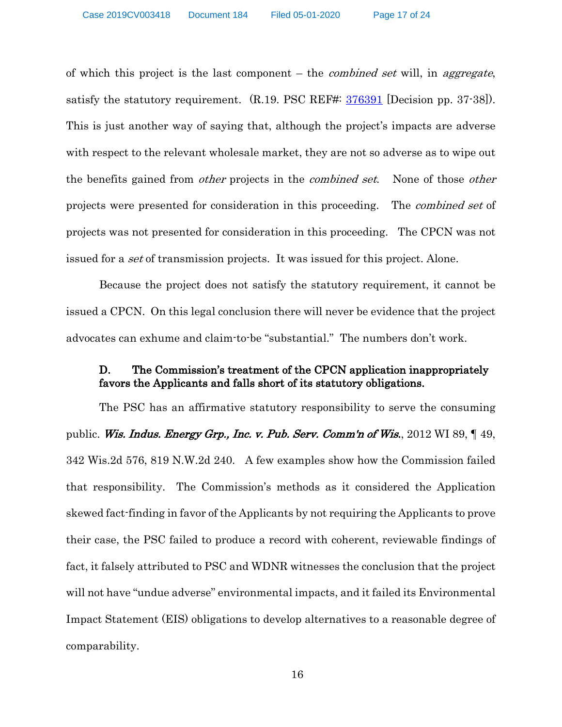of which this project is the last component  $-$  the *combined set* will, in *aggregate*, satisfy the statutory requirement.  $(R.19. PSC REF#: 376391$  [Decision pp. 37-38]). This is just another way of saying that, although the project's impacts are adverse with respect to the relevant wholesale market, they are not so adverse as to wipe out the benefits gained from *other* projects in the *combined set*. None of those *other* projects were presented for consideration in this proceeding. The combined set of projects was not presented for consideration in this proceeding. The CPCN was not issued for a *set* of transmission projects. It was issued for this project. Alone.

Because the project does not satisfy the statutory requirement, it cannot be issued a CPCN. On this legal conclusion there will never be evidence that the project advocates can exhume and claim-to-be "substantial." The numbers don't work.

# D. The Commission's treatment of the CPCN application inappropriately favors the Applicants and falls short of its statutory obligations.

The PSC has an affirmative statutory responsibility to serve the consuming public. Wis. Indus. Energy Grp., Inc. v. Pub. Serv. Comm'n of Wis., 2012 WI 89, 149, 342 Wis.2d 576, 819 N.W.2d 240. A few examples show how the Commission failed that responsibility. The Commission's methods as it considered the Application skewed fact-finding in favor of the Applicants by not requiring the Applicants to prove their case, the PSC failed to produce a record with coherent, reviewable findings of fact, it falsely attributed to PSC and WDNR witnesses the conclusion that the project will not have "undue adverse" environmental impacts, and it failed its Environmental Impact Statement (EIS) obligations to develop alternatives to a reasonable degree of comparability.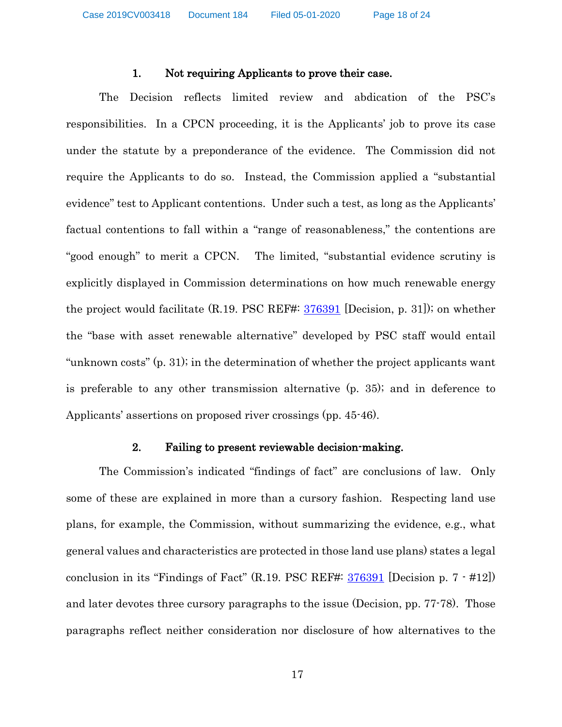#### 1. Not requiring Applicants to prove their case.

The Decision reflects limited review and abdication of the PSC's responsibilities. In a CPCN proceeding, it is the Applicants' job to prove its case under the statute by a preponderance of the evidence. The Commission did not require the Applicants to do so. Instead, the Commission applied a "substantial evidence" test to Applicant contentions. Under such a test, as long as the Applicants' factual contentions to fall within a "range of reasonableness," the contentions are "good enough" to merit a CPCN. The limited, "substantial evidence scrutiny is explicitly displayed in Commission determinations on how much renewable energy the project would facilitate (R.19. PSC REF#: 376391 [Decision, p. 31]); on whether the "base with asset renewable alternative" developed by PSC staff would entail "unknown costs" (p. 31); in the determination of whether the project applicants want is preferable to any other transmission alternative (p. 35); and in deference to Applicants' assertions on proposed river crossings (pp. 45-46).

#### 2. Failing to present reviewable decision-making.

The Commission's indicated "findings of fact" are conclusions of law. Only some of these are explained in more than a cursory fashion. Respecting land use plans, for example, the Commission, without summarizing the evidence, e.g., what general values and characteristics are protected in those land use plans) states a legal conclusion in its "Findings of Fact" (R.19. PSC REF#:  $\frac{376391}{276391}$  [Decision p. 7  $\cdot$  #12]) and later devotes three cursory paragraphs to the issue (Decision, pp. 77-78). Those paragraphs reflect neither consideration nor disclosure of how alternatives to the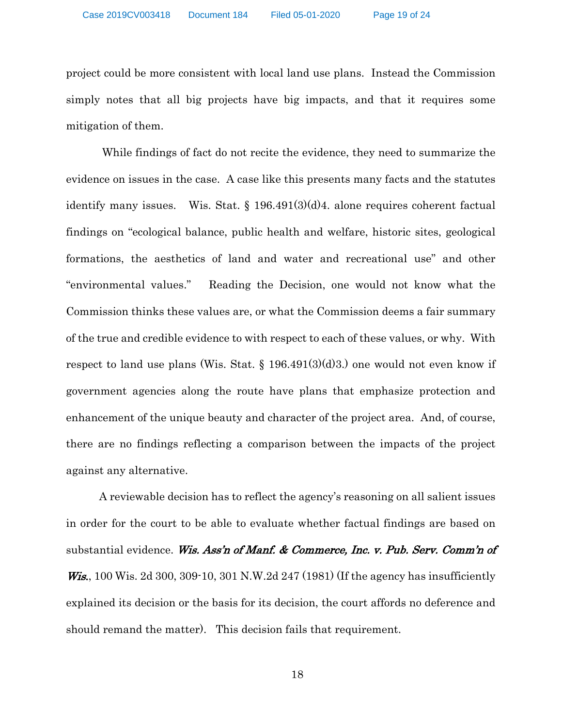project could be more consistent with local land use plans. Instead the Commission simply notes that all big projects have big impacts, and that it requires some mitigation of them.

While findings of fact do not recite the evidence, they need to summarize the evidence on issues in the case. A case like this presents many facts and the statutes identify many issues. Wis. Stat. § 196.491(3)(d)4. alone requires coherent factual findings on "ecological balance, public health and welfare, historic sites, geological formations, the aesthetics of land and water and recreational use" and other "environmental values." Reading the Decision, one would not know what the Commission thinks these values are, or what the Commission deems a fair summary of the true and credible evidence to with respect to each of these values, or why. With respect to land use plans (Wis. Stat.  $\S$  196.491(3)(d)3.) one would not even know if government agencies along the route have plans that emphasize protection and enhancement of the unique beauty and character of the project area. And, of course, there are no findings reflecting a comparison between the impacts of the project against any alternative.

A reviewable decision has to reflect the agency's reasoning on all salient issues in order for the court to be able to evaluate whether factual findings are based on substantial evidence. Wis. Ass'n of Manf. & Commerce, Inc. v. Pub. Serv. Comm'n of *Wis.*, 100 Wis. 2d 300, 309-10, 301 N.W.2d 247 (1981) (If the agency has insufficiently explained its decision or the basis for its decision, the court affords no deference and should remand the matter). This decision fails that requirement.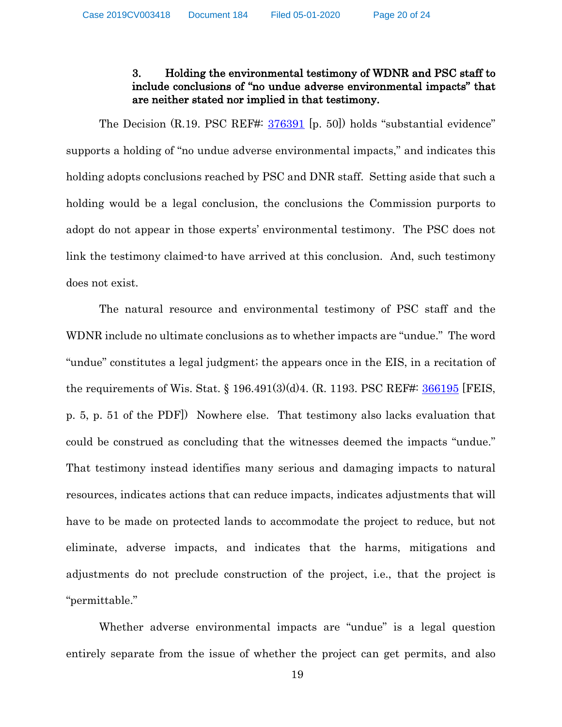# 3. Holding the environmental testimony of WDNR and PSC staff to include conclusions of "no undue adverse environmental impacts" that are neither stated nor implied in that testimony.

The Decision (R.19. PSC REF#: 376391 [p. 50]) holds "substantial evidence" supports a holding of "no undue adverse environmental impacts," and indicates this holding adopts conclusions reached by PSC and DNR staff. Setting aside that such a holding would be a legal conclusion, the conclusions the Commission purports to adopt do not appear in those experts' environmental testimony. The PSC does not link the testimony claimed-to have arrived at this conclusion. And, such testimony does not exist.

The natural resource and environmental testimony of PSC staff and the WDNR include no ultimate conclusions as to whether impacts are "undue." The word "undue" constitutes a legal judgment; the appears once in the EIS, in a recitation of the requirements of Wis. Stat. § 196.491(3)(d)4. (R. 1193. PSC REF#: 366195 [FEIS, p. 5, p. 51 of the PDF]) Nowhere else. That testimony also lacks evaluation that could be construed as concluding that the witnesses deemed the impacts "undue." That testimony instead identifies many serious and damaging impacts to natural resources, indicates actions that can reduce impacts, indicates adjustments that will have to be made on protected lands to accommodate the project to reduce, but not eliminate, adverse impacts, and indicates that the harms, mitigations and adjustments do not preclude construction of the project, i.e., that the project is "permittable."

Whether adverse environmental impacts are "undue" is a legal question entirely separate from the issue of whether the project can get permits, and also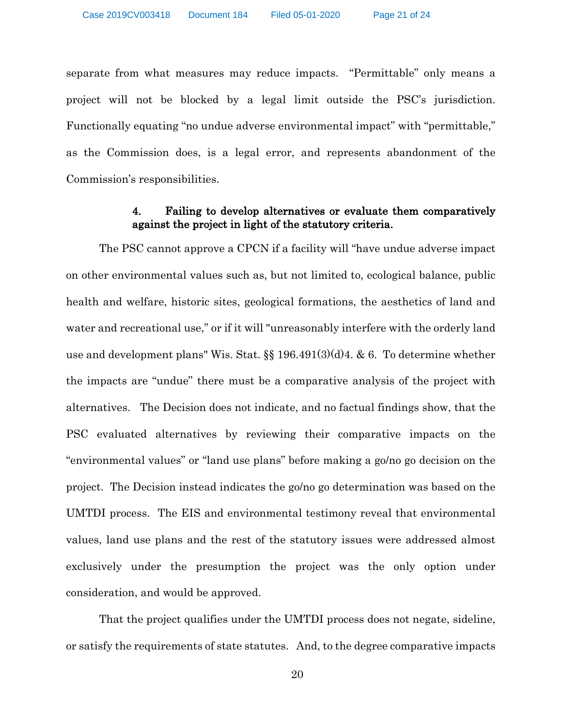separate from what measures may reduce impacts. "Permittable" only means a project will not be blocked by a legal limit outside the PSC's jurisdiction. Functionally equating "no undue adverse environmental impact" with "permittable," as the Commission does, is a legal error, and represents abandonment of the Commission's responsibilities.

### 4. Failing to develop alternatives or evaluate them comparatively against the project in light of the statutory criteria.

The PSC cannot approve a CPCN if a facility will "have undue adverse impact on other environmental values such as, but not limited to, ecological balance, public health and welfare, historic sites, geological formations, the aesthetics of land and water and recreational use," or if it will "unreasonably interfere with the orderly land use and development plans" Wis. Stat. §§ 196.491(3)(d)4. & 6. To determine whether the impacts are "undue" there must be a comparative analysis of the project with alternatives. The Decision does not indicate, and no factual findings show, that the PSC evaluated alternatives by reviewing their comparative impacts on the "environmental values" or "land use plans" before making a go/no go decision on the project. The Decision instead indicates the go/no go determination was based on the UMTDI process. The EIS and environmental testimony reveal that environmental values, land use plans and the rest of the statutory issues were addressed almost exclusively under the presumption the project was the only option under consideration, and would be approved.

That the project qualifies under the UMTDI process does not negate, sideline, or satisfy the requirements of state statutes. And, to the degree comparative impacts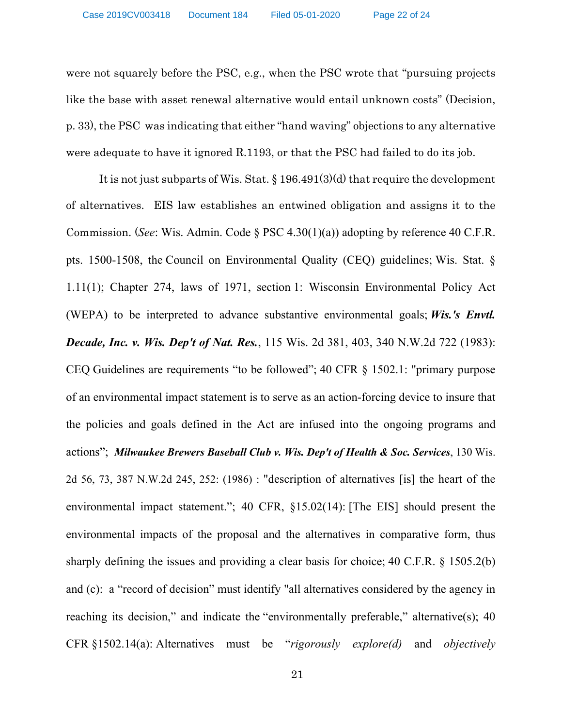were not squarely before the PSC, e.g., when the PSC wrote that "pursuing projects like the base with asset renewal alternative would entail unknown costs" (Decision, p. 33), the PSC was indicating that either "hand waving" objections to any alternative were adequate to have it ignored R.1193, or that the PSC had failed to do its job.

It is not just subparts of Wis. Stat. § 196.491(3)(d) that require the development of alternatives. EIS law establishes an entwined obligation and assigns it to the Commission. (*See*: Wis. Admin. Code § PSC 4.30(1)(a)) adopting by reference 40 C.F.R. pts. 1500-1508, the Council on Environmental Quality (CEQ) guidelines; Wis. Stat. § 1.11(1); Chapter 274, laws of 1971, section 1: Wisconsin Environmental Policy Act (WEPA) to be interpreted to advance substantive environmental goals; *Wis.'s Envtl. Decade, Inc. v. Wis. Dep't of Nat. Res.*, 115 Wis. 2d 381, 403, 340 N.W.2d 722 (1983): CEQ Guidelines are requirements "to be followed"; 40 CFR § 1502.1: "primary purpose of an environmental impact statement is to serve as an action-forcing device to insure that the policies and goals defined in the Act are infused into the ongoing programs and actions"; *Milwaukee Brewers Baseball Club v. Wis. Dep't of Health & Soc. Services*, 130 Wis. 2d 56, 73, 387 N.W.2d 245, 252: (1986) : "description of alternatives [is] the heart of the environmental impact statement."; 40 CFR, §15.02(14): [The EIS] should present the environmental impacts of the proposal and the alternatives in comparative form, thus sharply defining the issues and providing a clear basis for choice; 40 C.F.R. § 1505.2(b) and (c): a "record of decision" must identify "all alternatives considered by the agency in reaching its decision," and indicate the "environmentally preferable," alternative(s); 40 CFR §1502.14(a): Alternatives must be "*rigorously explore(d)* and *objectively*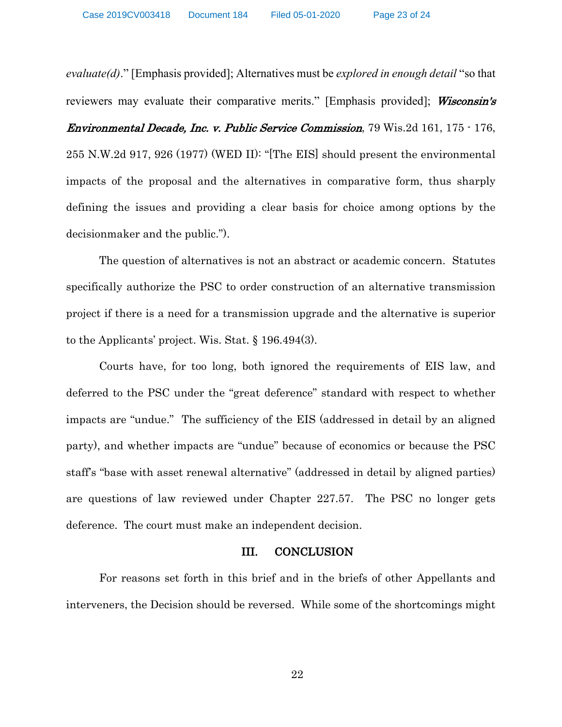*evaluate(d)*." [Emphasis provided]; Alternatives must be *explored in enough detail* "so that reviewers may evaluate their comparative merits." [Emphasis provided]; Wisconsin's Environmental Decade, Inc. v. Public Service Commission, 79 Wis.2d 161, 175 - 176, 255 N.W.2d 917, 926 (1977) (WED II): "[The EIS] should present the environmental impacts of the proposal and the alternatives in comparative form, thus sharply defining the issues and providing a clear basis for choice among options by the decisionmaker and the public.").

The question of alternatives is not an abstract or academic concern. Statutes specifically authorize the PSC to order construction of an alternative transmission project if there is a need for a transmission upgrade and the alternative is superior to the Applicants' project. Wis. Stat. § 196.494(3).

Courts have, for too long, both ignored the requirements of EIS law, and deferred to the PSC under the "great deference" standard with respect to whether impacts are "undue." The sufficiency of the EIS (addressed in detail by an aligned party), and whether impacts are "undue" because of economics or because the PSC staff's "base with asset renewal alternative" (addressed in detail by aligned parties) are questions of law reviewed under Chapter 227.57. The PSC no longer gets deference. The court must make an independent decision.

#### III. CONCLUSION

For reasons set forth in this brief and in the briefs of other Appellants and interveners, the Decision should be reversed. While some of the shortcomings might